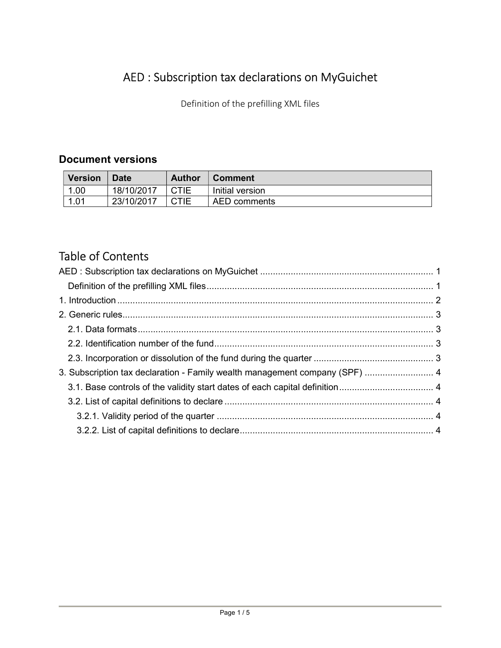# AED : Subscription tax declarations on MyGuichet

Definition of the prefilling XML files

# Document versions

| <b>Version</b> | <b>Date</b> | <b>Author</b> | <b>Comment</b>  |
|----------------|-------------|---------------|-----------------|
| 1.00           | 18/10/2017  | <b>CTIE</b>   | Initial version |
| 1.01           | 23/10/2017  | <b>CTIE</b>   | AED comments    |

# Table of Contents

| 3. Subscription tax declaration - Family wealth management company (SPF)  4 |  |  |
|-----------------------------------------------------------------------------|--|--|
|                                                                             |  |  |
|                                                                             |  |  |
|                                                                             |  |  |
|                                                                             |  |  |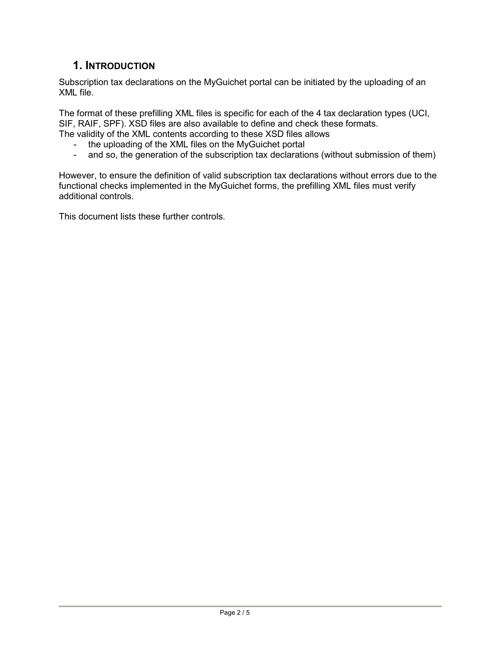# 1. INTRODUCTION

Subscription tax declarations on the MyGuichet portal can be initiated by the uploading of an XML file.

The format of these prefilling XML files is specific for each of the 4 tax declaration types (UCI, SIF, RAIF, SPF). XSD files are also available to define and check these formats. The validity of the XML contents according to these XSD files allows

- the uploading of the XML files on the MyGuichet portal
- and so, the generation of the subscription tax declarations (without submission of them)

However, to ensure the definition of valid subscription tax declarations without errors due to the functional checks implemented in the MyGuichet forms, the prefilling XML files must verify additional controls.

This document lists these further controls.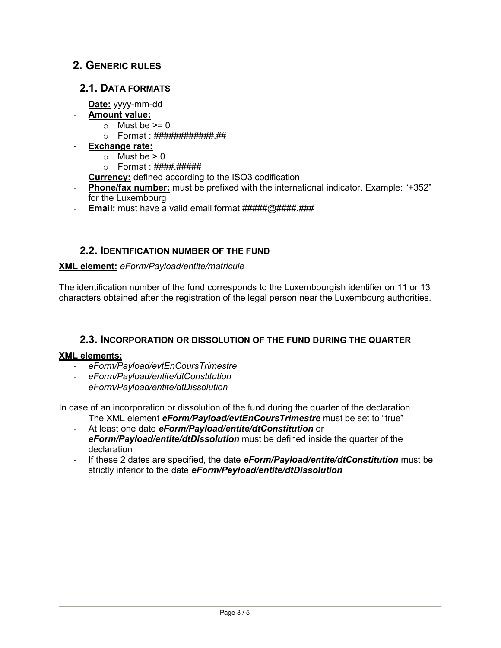# 2. GENERIC RULES

## 2.1. DATA FORMATS

- Date: yyyy-mm-dd
- Amount value:
	- $\circ$  Must be  $\geq 0$
	- o Format : ############.##
- Exchange rate:
	- $\circ$  Must be  $> 0$
	- o Format : ####.######
- Currency: defined according to the ISO3 codification
- Phone/fax number: must be prefixed with the international indicator. Example: "+352" for the Luxembourg
- Email: must have a valid email format #####@####.###

## 2.2. IDENTIFICATION NUMBER OF THE FUND

#### XML element: eForm/Payload/entite/matricule

The identification number of the fund corresponds to the Luxembourgish identifier on 11 or 13 characters obtained after the registration of the legal person near the Luxembourg authorities.

## 2.3. INCORPORATION OR DISSOLUTION OF THE FUND DURING THE QUARTER

#### XML elements:

- eForm/Payload/evtEnCoursTrimestre
- eForm/Payload/entite/dtConstitution
- eForm/Payload/entite/dtDissolution

In case of an incorporation or dissolution of the fund during the quarter of the declaration

- The XML element eForm/Payload/evtEnCoursTrimestre must be set to "true"
- At least one date eForm/Payload/entite/dtConstitution or eForm/Payload/entite/dtDissolution must be defined inside the quarter of the declaration
- If these 2 dates are specified, the date  $eForm/Payload/entite/dtConstitution$  must be strictly inferior to the date eForm/Payload/entite/dtDissolution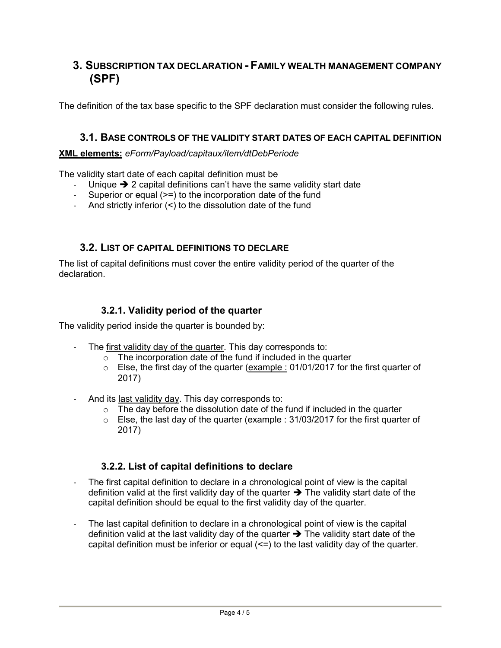# 3. SUBSCRIPTION TAX DECLARATION - FAMILY WEALTH MANAGEMENT COMPANY (SPF)

The definition of the tax base specific to the SPF declaration must consider the following rules.

#### 3.1. BASE CONTROLS OF THE VALIDITY START DATES OF EACH CAPITAL DEFINITION

#### XML elements: eForm/Payload/capitaux/item/dtDebPeriode

The validity start date of each capital definition must be

- Unique  $\rightarrow$  2 capital definitions can't have the same validity start date
- Superior or equal (>=) to the incorporation date of the fund
- And strictly inferior (<) to the dissolution date of the fund

## 3.2. LIST OF CAPITAL DEFINITIONS TO DECLARE

The list of capital definitions must cover the entire validity period of the quarter of the declaration.

# 3.2.1. Validity period of the quarter

The validity period inside the quarter is bounded by:

- The first validity day of the quarter. This day corresponds to:
	- $\circ$  The incorporation date of the fund if included in the quarter
	- $\circ$  Else, the first day of the quarter (example : 01/01/2017 for the first quarter of 2017)
- And its last validity day. This day corresponds to:
	- $\circ$  The day before the dissolution date of the fund if included in the quarter
	- o Else, the last day of the quarter (example : 31/03/2017 for the first quarter of 2017)

## 3.2.2. List of capital definitions to declare

- The first capital definition to declare in a chronological point of view is the capital definition valid at the first validity day of the quarter  $\rightarrow$  The validity start date of the capital definition should be equal to the first validity day of the quarter.
- The last capital definition to declare in a chronological point of view is the capital definition valid at the last validity day of the quarter  $\rightarrow$  The validity start date of the capital definition must be inferior or equal (<=) to the last validity day of the quarter.